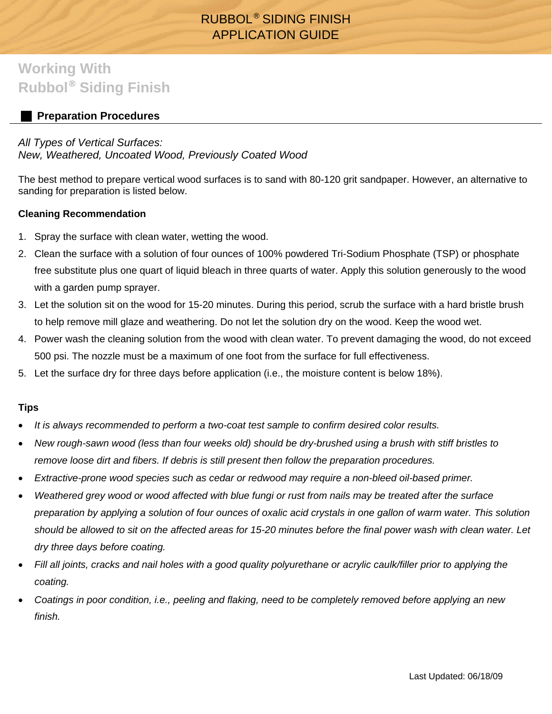# RUBBOL® SIDING FINISH APPLICATION GUIDE

# **Working With Rubbol**® **Siding Finish**

# **Preparation Procedures**

### *All Types of Vertical Surfaces:*

## *New, Weathered, Uncoated Wood, Previously Coated Wood*

The best method to prepare vertical wood surfaces is to sand with 80-120 grit sandpaper. However, an alternative to sanding for preparation is listed below.

### **Cleaning Recommendation**

- 1. Spray the surface with clean water, wetting the wood.
- 2. Clean the surface with a solution of four ounces of 100% powdered Tri-Sodium Phosphate (TSP) or phosphate free substitute plus one quart of liquid bleach in three quarts of water. Apply this solution generously to the wood with a garden pump sprayer.
- 3. Let the solution sit on the wood for 15-20 minutes. During this period, scrub the surface with a hard bristle brush to help remove mill glaze and weathering. Do not let the solution dry on the wood. Keep the wood wet.
- 4. Power wash the cleaning solution from the wood with clean water. To prevent damaging the wood, do not exceed 500 psi. The nozzle must be a maximum of one foot from the surface for full effectiveness.
- 5. Let the surface dry for three days before application (i.e., the moisture content is below 18%).

#### **Tips**

- *It is always recommended to perform a two-coat test sample to confirm desired color results.*
- *New rough-sawn wood (less than four weeks old) should be dry-brushed using a brush with stiff bristles to remove loose dirt and fibers. If debris is still present then follow the preparation procedures.*
- *Extractive-prone wood species such as cedar or redwood may require a non-bleed oil-based primer.*
- *Weathered grey wood or wood affected with blue fungi or rust from nails may be treated after the surface preparation by applying a solution of four ounces of oxalic acid crystals in one gallon of warm water. This solution should be allowed to sit on the affected areas for 15-20 minutes before the final power wash with clean water. Let dry three days before coating.*
- *Fill all joints, cracks and nail holes with a good quality polyurethane or acrylic caulk/filler prior to applying the coating.*
- *Coatings in poor condition, i.e., peeling and flaking, need to be completely removed before applying an new finish.*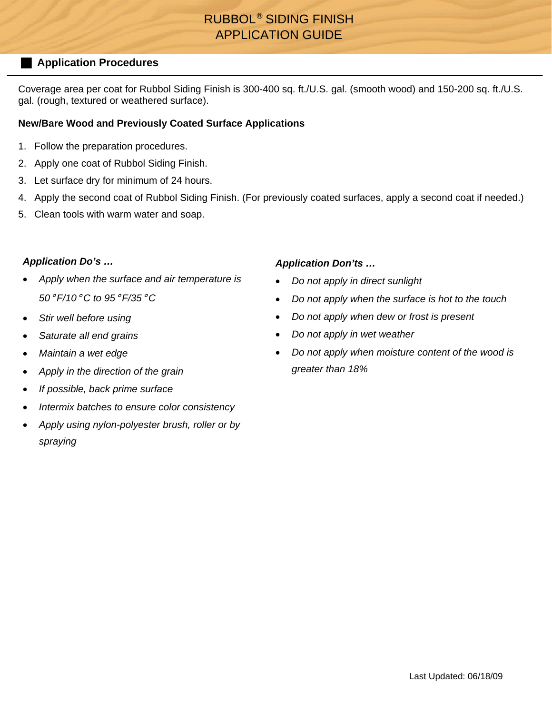# RUBBOL® SIDING FINISH APPLICATION GUIDE

## **Application Procedures**

Coverage area per coat for Rubbol Siding Finish is 300-400 sq. ft./U.S. gal. (smooth wood) and 150-200 sq. ft./U.S. gal. (rough, textured or weathered surface).

### **New/Bare Wood and Previously Coated Surface Applications**

- 1. Follow the preparation procedures.
- 2. Apply one coat of Rubbol Siding Finish.
- 3. Let surface dry for minimum of 24 hours.
- 4. Apply the second coat of Rubbol Siding Finish. (For previously coated surfaces, apply a second coat if needed.)
- 5. Clean tools with warm water and soap.

### *Application Do's …*

- *Apply when the surface and air temperature is 50*° *F/10*° *C to 95*° *F/35*° *C*
- *Stir well before using*
- *Saturate all end grains*
- *Maintain a wet edge*
- *Apply in the direction of the grain*
- *If possible, back prime surface*
- *Intermix batches to ensure color consistency*
- *Apply using nylon-polyester brush, roller or by spraying*

### *Application Don'ts …*

- *Do not apply in direct sunlight*
- *Do not apply when the surface is hot to the touch*
- *Do not apply when dew or frost is present*
- *Do not apply in wet weather*
- *Do not apply when moisture content of the wood is greater than 18%*